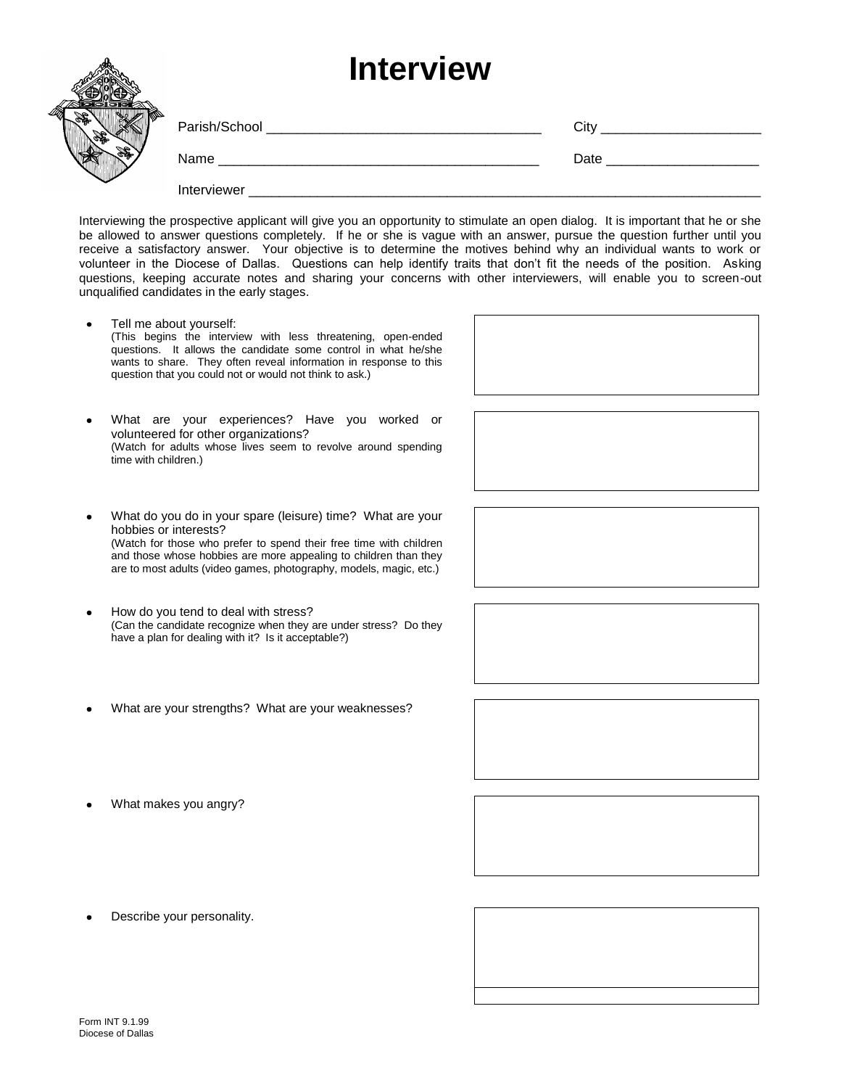## **Interview**

| <b>IIIIGI VIEW</b> |      |
|--------------------|------|
|                    | City |
| Name               | Date |
| Interviewer        |      |

Interviewing the prospective applicant will give you an opportunity to stimulate an open dialog. It is important that he or she be allowed to answer questions completely. If he or she is vague with an answer, pursue the question further until you receive a satisfactory answer. Your objective is to determine the motives behind why an individual wants to work or volunteer in the Diocese of Dallas. Questions can help identify traits that don't fit the needs of the position. Asking questions, keeping accurate notes and sharing your concerns with other interviewers, will enable you to screen-out unqualified candidates in the early stages.

- Tell me about yourself: (This begins the interview with less threatening, open-ended questions. It allows the candidate some control in what he/she wants to share. They often reveal information in response to this question that you could not or would not think to ask.)
- What are your experiences? Have you worked or volunteered for other organizations? (Watch for adults whose lives seem to revolve around spending time with children.)
- What do you do in your spare (leisure) time? What are your hobbies or interests? (Watch for those who prefer to spend their free time with children and those whose hobbies are more appealing to children than they are to most adults (video games, photography, models, magic, etc.)
- How do you tend to deal with stress? (Can the candidate recognize when they are under stress? Do they have a plan for dealing with it? Is it acceptable?)
- What are your strengths? What are your weaknesses?
- What makes you angry?

Describe your personality.



dh.